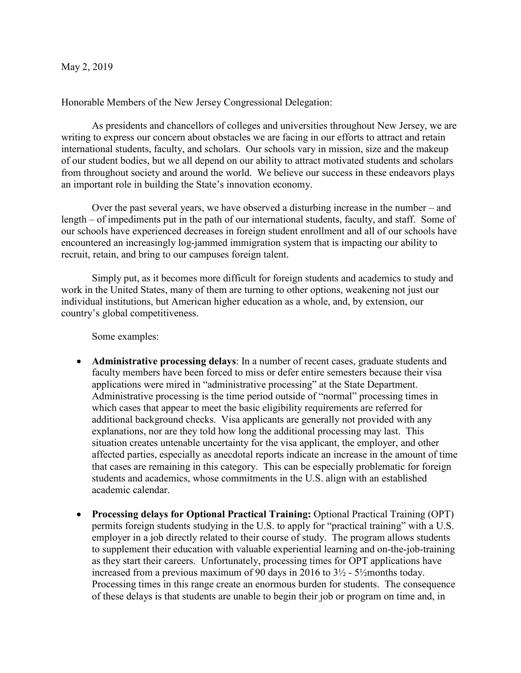## May 2, 2019

Honorable Members of the New Jersey Congressional Delegation:

As presidents and chancellors of colleges and universities throughout New Jersey, we are writing to express our concern about obstacles we are facing in our efforts to attract and retain international students, faculty, and scholars. Our schools vary in mission, size and the makeup of our student bodies, but we all depend on our ability to attract motivated students and scholars from throughout society and around the world. We believe our success in these endeavors plays an important role in building the State's innovation economy.

Over the past several years, we have observed a disturbing increase in the number – and length – of impediments put in the path of our international students, faculty, and staff. Some of our schools have experienced decreases in foreign student enrollment and all of our schools have encountered an increasingly log-jammed immigration system that is impacting our ability to recruit, retain, and bring to our campuses foreign talent.

Simply put, as it becomes more difficult for foreign students and academics to study and work in the United States, many of them are turning to other options, weakening not just our individual institutions, but American higher education as a whole, and, by extension, our country's global competitiveness.

Some examples:

- **Administrative processing delays**: In a number of recent cases, graduate students and faculty members have been forced to miss or defer entire semesters because their visa applications were mired in "administrative processing" at the State Department. Administrative processing is the time period outside of "normal" processing times in which cases that appear to meet the basic eligibility requirements are referred for additional background checks. Visa applicants are generally not provided with any explanations, nor are they told how long the additional processing may last. This situation creates untenable uncertainty for the visa applicant, the employer, and other affected parties, especially as anecdotal reports indicate an increase in the amount of time that cases are remaining in this category. This can be especially problematic for foreign students and academics, whose commitments in the U.S. align with an established academic calendar.
- **Processing delays for Optional Practical Training:** Optional Practical Training (OPT) permits foreign students studying in the U.S. to apply for "practical training" with a U.S. employer in a job directly related to their course of study. The program allows students to supplement their education with valuable experiential learning and on-the-job-training as they start their careers. Unfortunately, processing times for OPT applications have increased from a previous maximum of 90 days in 2016 to 3½ - 5½months today. Processing times in this range create an enormous burden for students. The consequence of these delays is that students are unable to begin their job or program on time and, in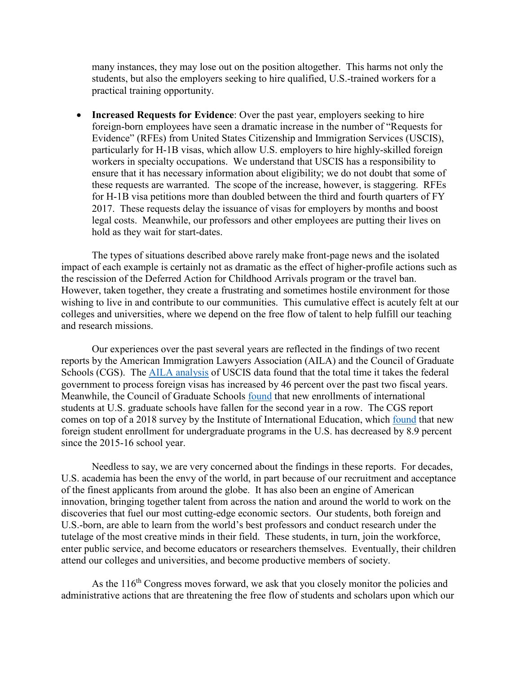many instances, they may lose out on the position altogether. This harms not only the students, but also the employers seeking to hire qualified, U.S.-trained workers for a practical training opportunity.

• **Increased Requests for Evidence**: Over the past year, employers seeking to hire foreign-born employees have seen a dramatic increase in the number of "Requests for Evidence" (RFEs) from United States Citizenship and Immigration Services (USCIS), particularly for H-1B visas, which allow U.S. employers to hire highly-skilled foreign workers in specialty occupations. We understand that USCIS has a responsibility to ensure that it has necessary information about eligibility; we do not doubt that some of these requests are warranted. The scope of the increase, however, is staggering. RFEs for H-1B visa petitions more than doubled between the third and fourth quarters of FY 2017. These requests delay the issuance of visas for employers by months and boost legal costs. Meanwhile, our professors and other employees are putting their lives on hold as they wait for start-dates.

The types of situations described above rarely make front-page news and the isolated impact of each example is certainly not as dramatic as the effect of higher-profile actions such as the rescission of the Deferred Action for Childhood Arrivals program or the travel ban. However, taken together, they create a frustrating and sometimes hostile environment for those wishing to live in and contribute to our communities. This cumulative effect is acutely felt at our colleges and universities, where we depend on the free flow of talent to help fulfill our teaching and research missions.

Our experiences over the past several years are reflected in the findings of two recent reports by the American Immigration Lawyers Association (AILA) and the Council of Graduate Schools (CGS). The [AILA analysis](https://www.aila.org/infonet/aila-policy-brief-uscis-processing-delays) of USCIS data found that the total time it takes the federal government to process foreign visas has increased by 46 percent over the past two fiscal years. Meanwhile, the Council of Graduate Schools [found](https://www.cgsnet.org/ckfinder/userfiles/files/Intl_Survey_Report_Fall2018.pdf) that new enrollments of international students at U.S. graduate schools have fallen for the second year in a row. The CGS report comes on top of a 2018 survey by the Institute of International Education, which [found](https://www.iie.org/en/Research-and-Insights/Open-Doors/Open-Doors-2018-Media-Information) that new foreign student enrollment for undergraduate programs in the U.S. has decreased by 8.9 percent since the 2015-16 school year.

Needless to say, we are very concerned about the findings in these reports. For decades, U.S. academia has been the envy of the world, in part because of our recruitment and acceptance of the finest applicants from around the globe. It has also been an engine of American innovation, bringing together talent from across the nation and around the world to work on the discoveries that fuel our most cutting-edge economic sectors. Our students, both foreign and U.S.-born, are able to learn from the world's best professors and conduct research under the tutelage of the most creative minds in their field. These students, in turn, join the workforce, enter public service, and become educators or researchers themselves. Eventually, their children attend our colleges and universities, and become productive members of society.

As the 116<sup>th</sup> Congress moves forward, we ask that you closely monitor the policies and administrative actions that are threatening the free flow of students and scholars upon which our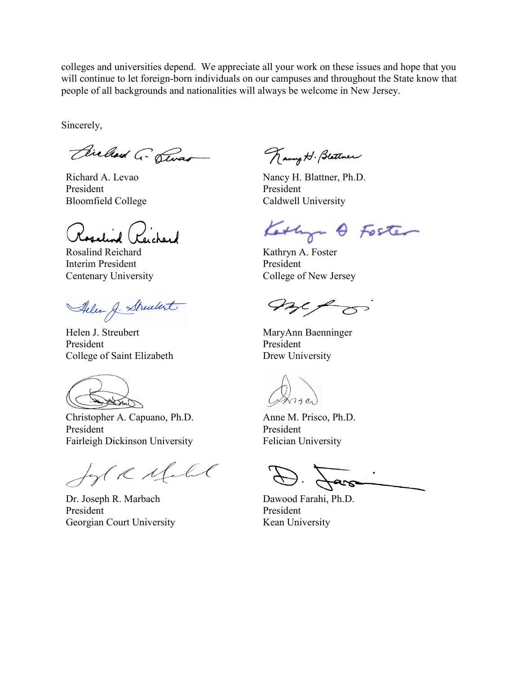colleges and universities depend. We appreciate all your work on these issues and hope that you will continue to let foreign-born individuals on our campuses and throughout the State know that people of all backgrounds and nationalities will always be welcome in New Jersey.

Sincerely,

Bielland G- Swar

Richard A. Levao President Bloomfield College

id (Peichard

Rosalind Reichard Interim President Centenary University

Aller J. Strenbert

Helen J. Streubert President College of Saint Elizabeth

JATA

Christopher A. Capuano, Ph.D. President Fairleigh Dickinson University

for R Mall

Dr. Joseph R. Marbach President Georgian Court University

Kanny H. Blattner

Nancy H. Blattner, Ph.D. President Caldwell University

Kathyn & Foster

Kathryn A. Foster President College of New Jersey

met o

MaryAnn Baenninger President Drew University

Anne M. Prisco, Ph.D. President Felician University

 $\frac{1}{\sqrt{2\cdot 1} \cdot \sqrt{1-\frac{1}{2}} \cdot \sqrt{1-\frac{1}{2}} \cdot \sqrt{1-\frac{1}{2}} \cdot \sqrt{1-\frac{1}{2}} \cdot \sqrt{1-\frac{1}{2}} \cdot \sqrt{1-\frac{1}{2}} \cdot \sqrt{1-\frac{1}{2}} \cdot \sqrt{1-\frac{1}{2}} \cdot \sqrt{1-\frac{1}{2}} \cdot \sqrt{1-\frac{1}{2}} \cdot \sqrt{1-\frac{1}{2}} \cdot \sqrt{1-\frac{1}{2}} \cdot \sqrt{1-\frac{1}{2}} \cdot \sqrt{1-\frac{1}{2}} \cdot \sqrt{1-\frac{1}{2}} \cdot \sqrt{1-\frac{1}{$ 

Dawood Farahi, Ph.D. President Kean University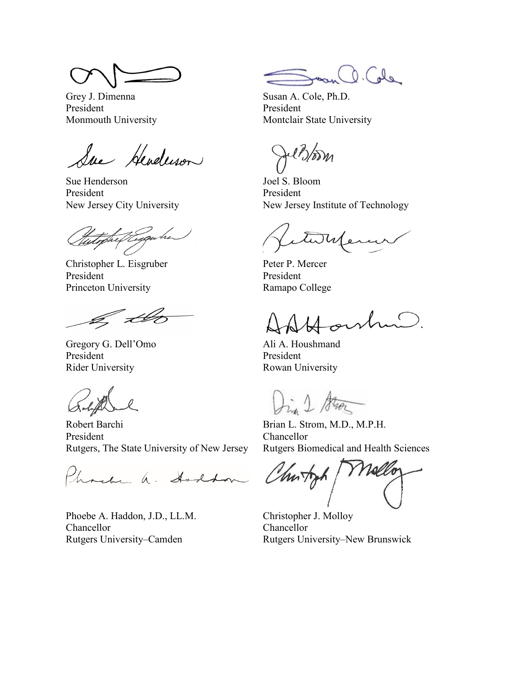Grey J. Dimenna President Monmouth University

Sue Henderson

Sue Henderson President New Jersey City University

Christopher L. Eisgruber President Princeton University

.<br>List

Gregory G. Dell'Omo President Rider University

Robert Barchi President Rutgers, The State University of New Jersey

Phonetic a. Anddon

Phoebe A. Haddon, J.D., LL.M. Chancellor Rutgers University–Camden

O. Cole

Susan A. Cole, Ph.D. President Montclair State University

Joel S. Bloom President New Jersey Institute of Technology

etwhen

Peter P. Mercer President Ramapo College

archin

Ali A. Houshmand President Rowan University

In 1 Stroz

Brian L. Strom, M.D., M.P.H. Chancellor Rutgers Biomedical and Health Sciences

Churtz

Christopher J. Molloy Chancellor Rutgers University–New Brunswick